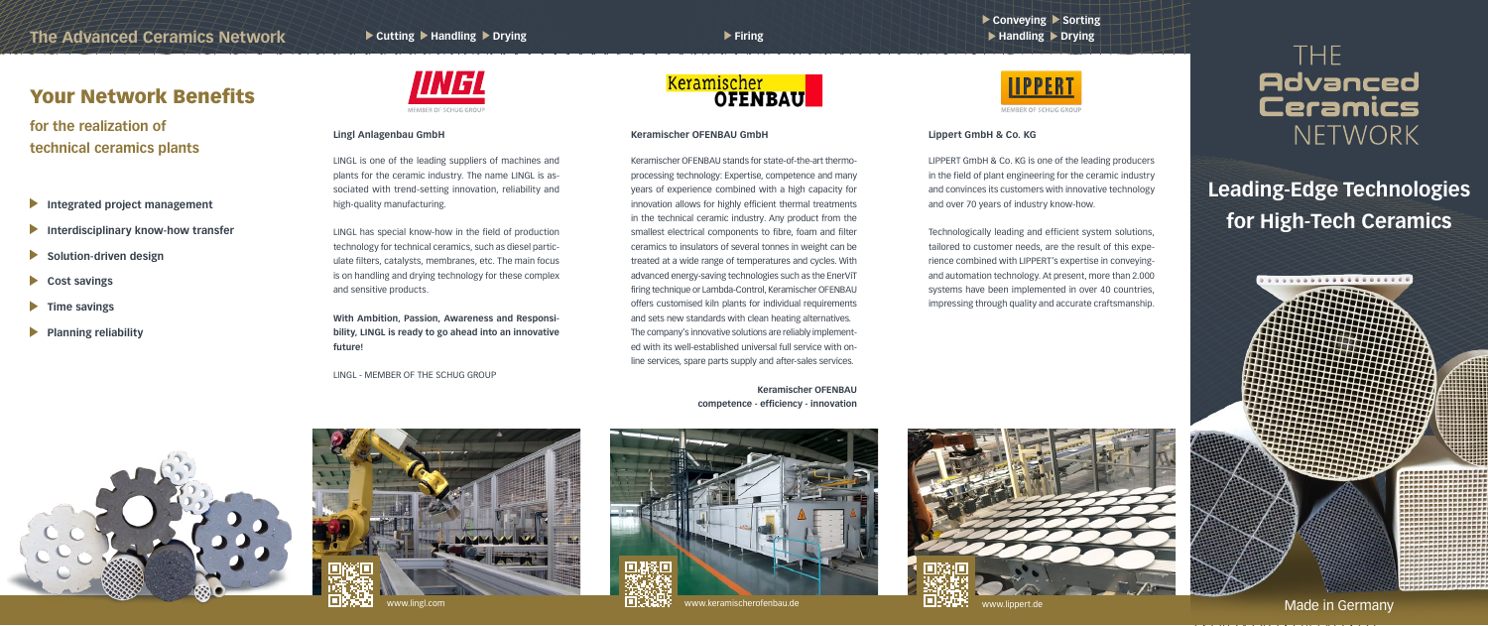## **Leading-Edge Technologies for High-Tech Ceramics**

- **Integrated project management**
- **Interdisciplinary know-how transfer**
- **Solution-driven design**  $\blacktriangleright$
- $\blacktriangleright$ **Cost savings**
- **Time savings**  $\blacktriangleright$
- **Planning reliability**  $\blacktriangleright$







### Your Network Benefits

**for the realization of technical ceramics plants**

Made in Germany

ww.linnert.de

#### **Keramischer OFENBAU GmbH**

Keramischer OFENBAU stands for state-of-the-art thermoprocessing technology: Expertise, competence and many years of experience combined with a high capacity for innovation allows for highly efficient thermal treatments in the technical ceramic industry. Any product from the smallest electrical components to fibre, foam and filter ceramics to insulators of several tonnes in weight can be treated at a wide range of temperatures and cycles. With advanced energy-saving technologies such as the EnerViT firing technique or Lambda-Control, Keramischer OFENBAU offers customised kiln plants for individual requirements and sets new standards with clean heating alternatives. The company's innovative solutions are reliably implemented with its well-established universal full service with online services, spare parts supply and after-sales services.

> **Keramischer OFENBAU competence - efficiency - innovation**





### ▶ Conveying ▶ Sorting  $\blacktriangleright$  **Handling**  $\blacktriangleright$  **Drying**



LIPPERT GmbH & Co. KG is one of the leading producers in the field of plant engineering for the ceramic industry and convinces its customers with innovative technology and over 70 years of industry know-how.

Technologically leading and efficient system solutions, tailored to customer needs, are the result of this experience combined with LIPPERT's expertise in conveyingand automation technology. At present, more than 2.000 systems have been implemented in over 40 countries, impressing through quality and accurate craftsmanship.

## THE **Advanced Ceramics** NETWORK

### **Lippert GmbH & Co. KG**

LINGL is one of the leading suppliers of machines and plants for the ceramic industry. The name LINGL is associated with trend-setting innovation, reliability and high-quality manufacturing.

LINGL has special know-how in the field of production technology for technical ceramics, such as diesel particulate filters, catalysts, membranes, etc. The main focus is on handling and drying technology for these complex and sensitive products.

**With Ambition, Passion, Awareness and Responsibility, LINGL is ready to go ahead into an innovative future!**

LINGL - MEMBER OF THE SCHUG GROUP

# **Keramischer**<br>**OFENBAU**

### **Lingl Anlagenbau GmbH**